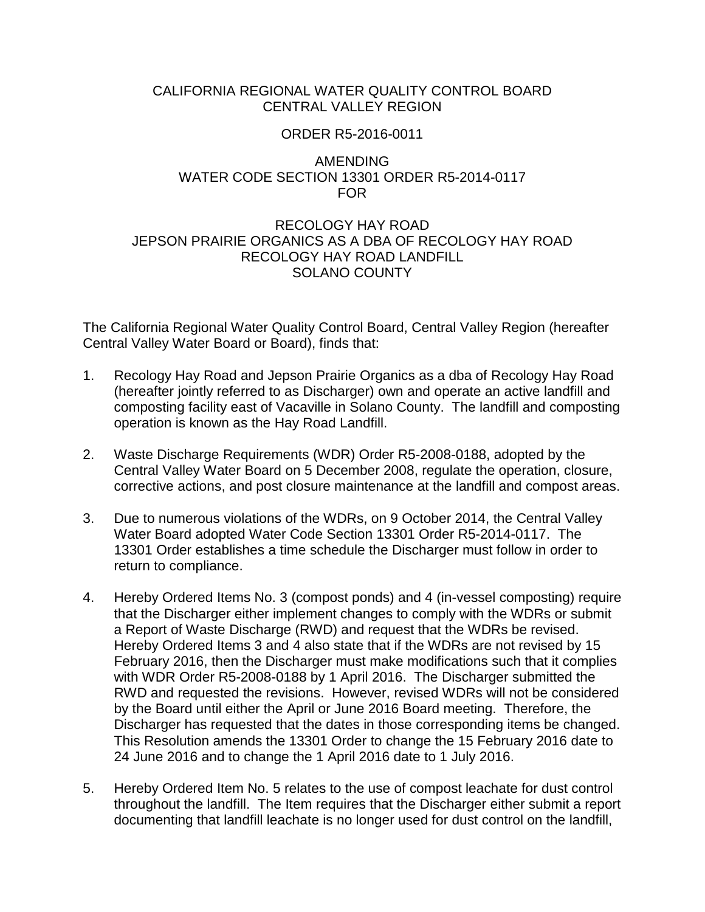# CALIFORNIA REGIONAL WATER QUALITY CONTROL BOARD CENTRAL VALLEY REGION

### ORDER R5-2016-0011

### AMENDING WATER CODE SECTION 13301 ORDER R5-2014-0117 FOR

# RECOLOGY HAY ROAD JEPSON PRAIRIE ORGANICS AS A DBA OF RECOLOGY HAY ROAD RECOLOGY HAY ROAD LANDFILL SOLANO COUNTY

The California Regional Water Quality Control Board, Central Valley Region (hereafter Central Valley Water Board or Board), finds that:

- 1. Recology Hay Road and Jepson Prairie Organics as a dba of Recology Hay Road (hereafter jointly referred to as Discharger) own and operate an active landfill and composting facility east of Vacaville in Solano County. The landfill and composting operation is known as the Hay Road Landfill.
- 2. Waste Discharge Requirements (WDR) Order R5-2008-0188, adopted by the Central Valley Water Board on 5 December 2008, regulate the operation, closure, corrective actions, and post closure maintenance at the landfill and compost areas.
- 3. Due to numerous violations of the WDRs, on 9 October 2014, the Central Valley Water Board adopted Water Code Section 13301 Order R5-2014-0117. The 13301 Order establishes a time schedule the Discharger must follow in order to return to compliance.
- 4. Hereby Ordered Items No. 3 (compost ponds) and 4 (in-vessel composting) require that the Discharger either implement changes to comply with the WDRs or submit a Report of Waste Discharge (RWD) and request that the WDRs be revised. Hereby Ordered Items 3 and 4 also state that if the WDRs are not revised by 15 February 2016, then the Discharger must make modifications such that it complies with WDR Order R5-2008-0188 by 1 April 2016. The Discharger submitted the RWD and requested the revisions. However, revised WDRs will not be considered by the Board until either the April or June 2016 Board meeting. Therefore, the Discharger has requested that the dates in those corresponding items be changed. This Resolution amends the 13301 Order to change the 15 February 2016 date to 24 June 2016 and to change the 1 April 2016 date to 1 July 2016.
- 5. Hereby Ordered Item No. 5 relates to the use of compost leachate for dust control throughout the landfill. The Item requires that the Discharger either submit a report documenting that landfill leachate is no longer used for dust control on the landfill,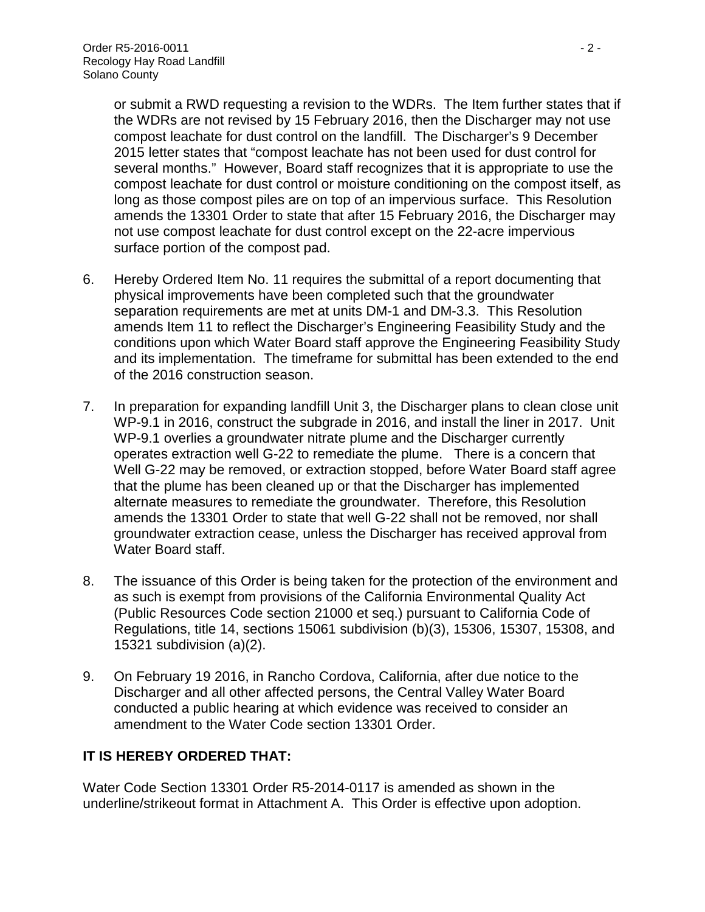or submit a RWD requesting a revision to the WDRs. The Item further states that if the WDRs are not revised by 15 February 2016, then the Discharger may not use compost leachate for dust control on the landfill. The Discharger's 9 December 2015 letter states that "compost leachate has not been used for dust control for several months." However, Board staff recognizes that it is appropriate to use the compost leachate for dust control or moisture conditioning on the compost itself, as long as those compost piles are on top of an impervious surface. This Resolution amends the 13301 Order to state that after 15 February 2016, the Discharger may not use compost leachate for dust control except on the 22-acre impervious surface portion of the compost pad.

- 6. Hereby Ordered Item No. 11 requires the submittal of a report documenting that physical improvements have been completed such that the groundwater separation requirements are met at units DM-1 and DM-3.3. This Resolution amends Item 11 to reflect the Discharger's Engineering Feasibility Study and the conditions upon which Water Board staff approve the Engineering Feasibility Study and its implementation. The timeframe for submittal has been extended to the end of the 2016 construction season.
- 7. In preparation for expanding landfill Unit 3, the Discharger plans to clean close unit WP-9.1 in 2016, construct the subgrade in 2016, and install the liner in 2017. Unit WP-9.1 overlies a groundwater nitrate plume and the Discharger currently operates extraction well G-22 to remediate the plume. There is a concern that Well G-22 may be removed, or extraction stopped, before Water Board staff agree that the plume has been cleaned up or that the Discharger has implemented alternate measures to remediate the groundwater. Therefore, this Resolution amends the 13301 Order to state that well G-22 shall not be removed, nor shall groundwater extraction cease, unless the Discharger has received approval from Water Board staff.
- 8. The issuance of this Order is being taken for the protection of the environment and as such is exempt from provisions of the California Environmental Quality Act (Public Resources Code section 21000 et seq.) pursuant to California Code of Regulations, title 14, sections 15061 subdivision (b)(3), 15306, 15307, 15308, and 15321 subdivision (a)(2).
- 9. On February 19 2016, in Rancho Cordova, California, after due notice to the Discharger and all other affected persons, the Central Valley Water Board conducted a public hearing at which evidence was received to consider an amendment to the Water Code section 13301 Order.

# **IT IS HEREBY ORDERED THAT:**

Water Code Section 13301 Order R5-2014-0117 is amended as shown in the underline/strikeout format in Attachment A. This Order is effective upon adoption.